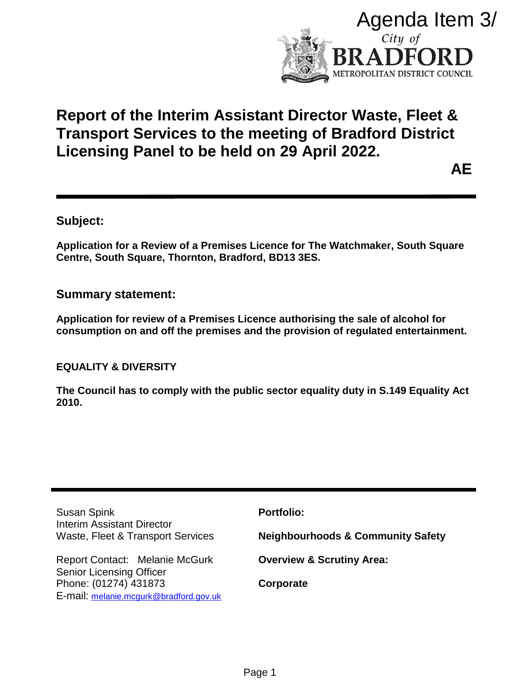

# **Report of the Interim Assistant Director Waste, Fleet & Transport Services to the meeting of Bradford District Licensing Panel to be held on 29 April 2022.**

**AE**

# **Subject:**

**Application for a Review of a Premises Licence for The Watchmaker, South Square Centre, South Square, Thornton, Bradford, BD13 3ES.**

## **Summary statement:**

**Application for review of a Premises Licence authorising the sale of alcohol for consumption on and off the premises and the provision of regulated entertainment.**

**EQUALITY & DIVERSITY**

**The Council has to comply with the public sector equality duty in S.149 Equality Act 2010.**

Susan Spink Interim Assistant Director Waste, Fleet & Transport Services **Portfolio: Neighbourhoods & Community Safety** Report Contact: Melanie McGurk Senior Licensing Officer Phone: (01274) 431873 E-mail: melanie.mcgurk@bradford.gov.uk **Overview & Scrutiny Area: Corporate** Agenda Item 3/<br>
City of<br> **BRADFORD**<br>
SERADFORD<br>
SERADFORD<br>
SERADE METORD<br>
SERADE METORD<br>
SERATE CONCUTE<br>
SERATE CONCUTE<br>
ALE<br>
SERATE CONSISTER ALE<br>
SERIGE AGE<br>
SERIGE AGE<br>
SERIGE AGE<br>
SERIGE AGE<br>
SERIGE AGE<br>
SERIGE AGE<br>
SE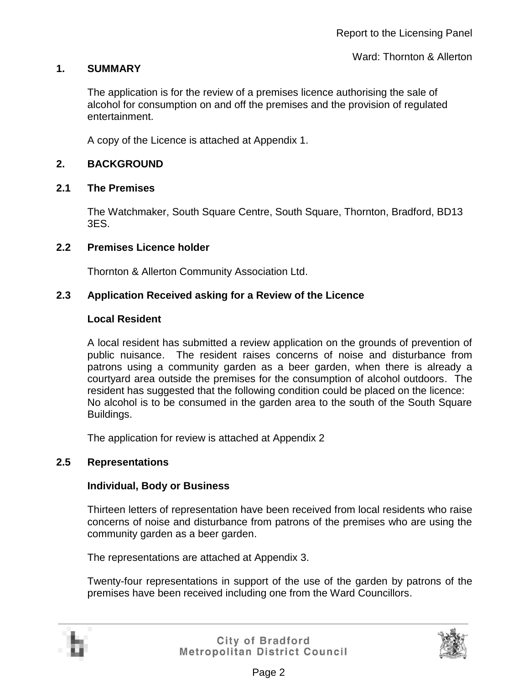### **1. SUMMARY**

The application is for the review of a premises licence authorising the sale of alcohol for consumption on and off the premises and the provision of regulated entertainment.

A copy of the Licence is attached at Appendix 1.

### **2. BACKGROUND**

#### **2.1 The Premises**

The Watchmaker, South Square Centre, South Square, Thornton, Bradford, BD13 3ES.

#### **2.2 Premises Licence holder**

Thornton & Allerton Community Association Ltd.

#### **2.3 Application Received asking for a Review of the Licence**

#### **Local Resident**

A local resident has submitted a review application on the grounds of prevention of public nuisance. The resident raises concerns of noise and disturbance from patrons using a community garden as a beer garden, when there is already a courtyard area outside the premises for the consumption of alcohol outdoors. The resident has suggested that the following condition could be placed on the licence: No alcohol is to be consumed in the garden area to the south of the South Square Buildings.

The application for review is attached at Appendix 2

#### **2.5 Representations**

#### **Individual, Body or Business**

Thirteen letters of representation have been received from local residents who raise concerns of noise and disturbance from patrons of the premises who are using the community garden as a beer garden.

The representations are attached at Appendix 3.

Twenty-four representations in support of the use of the garden by patrons of the premises have been received including one from the Ward Councillors.



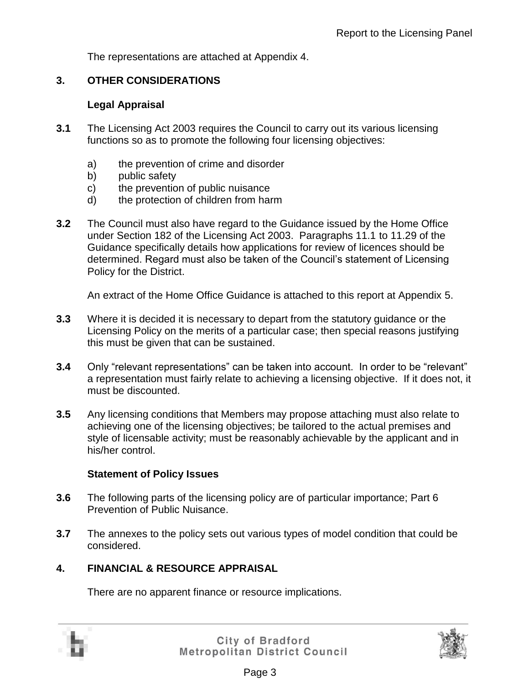The representations are attached at Appendix 4.

## **3. OTHER CONSIDERATIONS**

#### **Legal Appraisal**

- **3.1** The Licensing Act 2003 requires the Council to carry out its various licensing functions so as to promote the following four licensing objectives:
	- a) the prevention of crime and disorder
	- b) public safety
	- c) the prevention of public nuisance
	- d) the protection of children from harm
- **3.2** The Council must also have regard to the Guidance issued by the Home Office under Section 182 of the Licensing Act 2003. Paragraphs 11.1 to 11.29 of the Guidance specifically details how applications for review of licences should be determined. Regard must also be taken of the Council's statement of Licensing Policy for the District.

An extract of the Home Office Guidance is attached to this report at Appendix 5.

- **3.3** Where it is decided it is necessary to depart from the statutory guidance or the Licensing Policy on the merits of a particular case; then special reasons justifying this must be given that can be sustained.
- **3.4** Only "relevant representations" can be taken into account. In order to be "relevant" a representation must fairly relate to achieving a licensing objective. If it does not, it must be discounted.
- **3.5** Any licensing conditions that Members may propose attaching must also relate to achieving one of the licensing objectives; be tailored to the actual premises and style of licensable activity; must be reasonably achievable by the applicant and in his/her control.

#### **Statement of Policy Issues**

- **3.6** The following parts of the licensing policy are of particular importance; Part 6 Prevention of Public Nuisance.
- **3.7** The annexes to the policy sets out various types of model condition that could be considered.

## **4. FINANCIAL & RESOURCE APPRAISAL**

There are no apparent finance or resource implications.



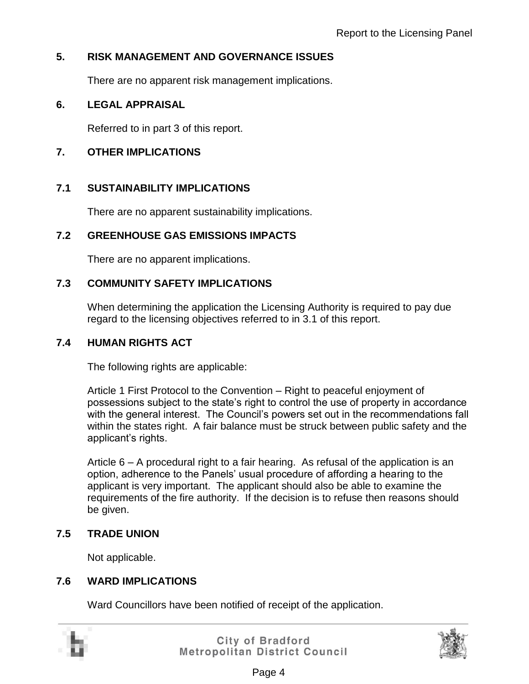# **5. RISK MANAGEMENT AND GOVERNANCE ISSUES**

There are no apparent risk management implications.

## **6. LEGAL APPRAISAL**

Referred to in part 3 of this report.

## **7. OTHER IMPLICATIONS**

## **7.1 SUSTAINABILITY IMPLICATIONS**

There are no apparent sustainability implications.

## **7.2 GREENHOUSE GAS EMISSIONS IMPACTS**

There are no apparent implications.

## **7.3 COMMUNITY SAFETY IMPLICATIONS**

When determining the application the Licensing Authority is required to pay due regard to the licensing objectives referred to in 3.1 of this report.

## **7.4 HUMAN RIGHTS ACT**

The following rights are applicable:

Article 1 First Protocol to the Convention – Right to peaceful enjoyment of possessions subject to the state's right to control the use of property in accordance with the general interest. The Council's powers set out in the recommendations fall within the states right. A fair balance must be struck between public safety and the applicant's rights.

Article 6 – A procedural right to a fair hearing. As refusal of the application is an option, adherence to the Panels' usual procedure of affording a hearing to the applicant is very important. The applicant should also be able to examine the requirements of the fire authority. If the decision is to refuse then reasons should be given.

# **7.5 TRADE UNION**

Not applicable.

## **7.6 WARD IMPLICATIONS**

Ward Councillors have been notified of receipt of the application.

|  | ÷ |
|--|---|
|  |   |

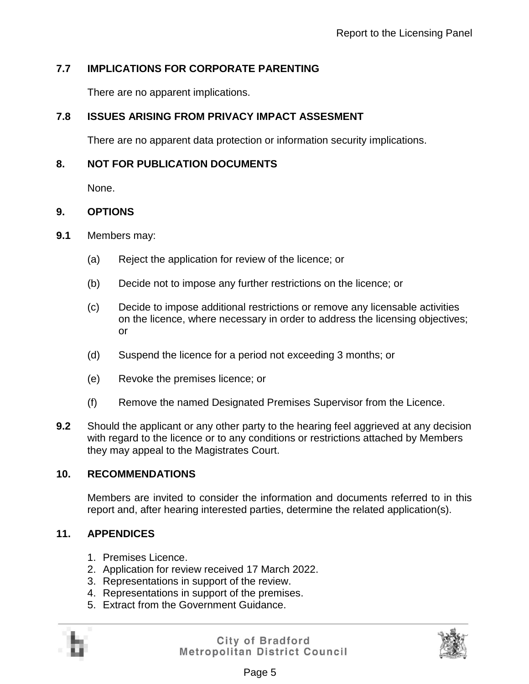# **7.7 IMPLICATIONS FOR CORPORATE PARENTING**

There are no apparent implications.

# **7.8 ISSUES ARISING FROM PRIVACY IMPACT ASSESMENT**

There are no apparent data protection or information security implications.

# **8. NOT FOR PUBLICATION DOCUMENTS**

None.

# **9. OPTIONS**

- **9.1** Members may:
	- (a) Reject the application for review of the licence; or
	- (b) Decide not to impose any further restrictions on the licence; or
	- (c) Decide to impose additional restrictions or remove any licensable activities on the licence, where necessary in order to address the licensing objectives; or
	- (d) Suspend the licence for a period not exceeding 3 months; or
	- (e) Revoke the premises licence; or
	- (f) Remove the named Designated Premises Supervisor from the Licence.
- **9.2** Should the applicant or any other party to the hearing feel aggrieved at any decision with regard to the licence or to any conditions or restrictions attached by Members they may appeal to the Magistrates Court.

# **10. RECOMMENDATIONS**

Members are invited to consider the information and documents referred to in this report and, after hearing interested parties, determine the related application(s).

# **11. APPENDICES**

- 1. Premises Licence.
- 2. Application for review received 17 March 2022.
- 3. Representations in support of the review.
- 4. Representations in support of the premises.
- 5. Extract from the Government Guidance.